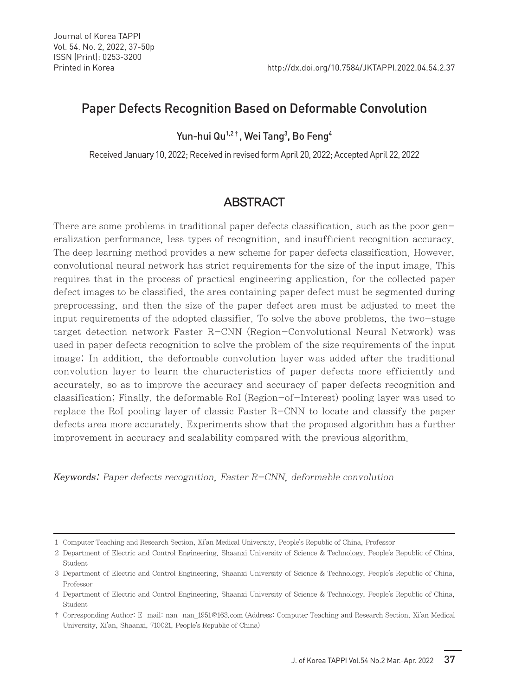# Paper Defects Recognition Based on Deformable Convolution

Yun-hui Qu<sup>1,2†</sup>, Wei Tang<sup>3</sup>, Bo Feng<sup>4</sup>

Received January 10, 2022; Received in revised form April 20, 2022; Accepted April 22, 2022

# ABSTRACT

There are some problems in traditional paper defects classification, such as the poor generalization performance, less types of recognition, and insufficient recognition accuracy. The deep learning method provides a new scheme for paper defects classification. However, convolutional neural network has strict requirements for the size of the input image. This requires that in the process of practical engineering application, for the collected paper defect images to be classified, the area containing paper defect must be segmented during preprocessing, and then the size of the paper defect area must be adjusted to meet the input requirements of the adopted classifier. To solve the above problems, the two-stage target detection network Faster R-CNN (Region-Convolutional Neural Network) was used in paper defects recognition to solve the problem of the size requirements of the input image; In addition, the deformable convolution layer was added after the traditional convolution layer to learn the characteristics of paper defects more efficiently and accurately, so as to improve the accuracy and accuracy of paper defects recognition and classification; Finally, the deformable RoI (Region-of-Interest) pooling layer was used to replace the RoI pooling layer of classic Faster R-CNN to locate and classify the paper defects area more accurately. Experiments show that the proposed algorithm has a further improvement in accuracy and scalability compared with the previous algorithm.

Keywords: Paper defects recognition, Faster R-CNN, deformable convolution

<sup>1</sup> Computer Teaching and Research Section, Xi'an Medical University, People's Republic of China, Professor

<sup>2</sup> Department of Electric and Control Engineering, Shaanxi University of Science & Technology, People's Republic of China, Student

<sup>3</sup> Department of Electric and Control Engineering, Shaanxi University of Science & Technology, People's Republic of China, Professor

<sup>4</sup> Department of Electric and Control Engineering, Shaanxi University of Science & Technology, People's Republic of China, Student

<sup>†</sup> Corresponding Author: E-mail: nan-nan\_1951@163.com (Address: Computer Teaching and Research Section, Xi'an Medical University, Xi'an, Shaanxi, 710021, People's Republic of China)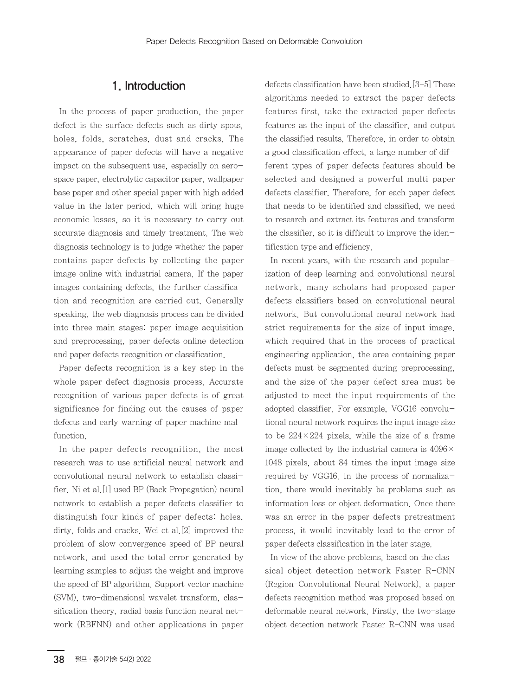## 1. Introduction

In the process of paper production, the paper defect is the surface defects such as dirty spots, holes, folds, scratches, dust and cracks. The appearance of paper defects will have a negative impact on the subsequent use, especially on aerospace paper, electrolytic capacitor paper, wallpaper base paper and other special paper with high added value in the later period, which will bring huge economic losses, so it is necessary to carry out accurate diagnosis and timely treatment. The web diagnosis technology is to judge whether the paper contains paper defects by collecting the paper image online with industrial camera. If the paper images containing defects, the further classification and recognition are carried out. Generally speaking, the web diagnosis process can be divided into three main stages: paper image acquisition and preprocessing, paper defects online detection and paper defects recognition or classification.

Paper defects recognition is a key step in the whole paper defect diagnosis process. Accurate recognition of various paper defects is of great significance for finding out the causes of paper defects and early warning of paper machine malfunction.

In the paper defects recognition, the most research was to use artificial neural network and convolutional neural network to establish classifier. Ni et al.[1] used BP (Back Propagation) neural network to establish a paper defects classifier to distinguish four kinds of paper defects: holes, dirty, folds and cracks. Wei et al.[2] improved the problem of slow convergence speed of BP neural network, and used the total error generated by learning samples to adjust the weight and improve the speed of BP algorithm. Support vector machine (SVM), two-dimensional wavelet transform, classification theory, radial basis function neural network (RBFNN) and other applications in paper defects classification have been studied.[3-5] These algorithms needed to extract the paper defects features first, take the extracted paper defects features as the input of the classifier, and output the classified results. Therefore, in order to obtain a good classification effect, a large number of different types of paper defects features should be selected and designed a powerful multi paper defects classifier. Therefore, for each paper defect that needs to be identified and classified, we need to research and extract its features and transform the classifier, so it is difficult to improve the identification type and efficiency.

In recent years, with the research and popularization of deep learning and convolutional neural network, many scholars had proposed paper defects classifiers based on convolutional neural network. But convolutional neural network had strict requirements for the size of input image, which required that in the process of practical engineering application, the area containing paper defects must be segmented during preprocessing, and the size of the paper defect area must be adjusted to meet the input requirements of the adopted classifier. For example, VGG16 convolutional neural network requires the input image size to be  $224 \times 224$  pixels, while the size of a frame image collected by the industrial camera is 4096× 1048 pixels, about 84 times the input image size required by VGG16. In the process of normalization, there would inevitably be problems such as information loss or object deformation. Once there was an error in the paper defects pretreatment process, it would inevitably lead to the error of paper defects classification in the later stage.

In view of the above problems, based on the classical object detection network Faster R-CNN (Region-Convolutional Neural Network), a paper defects recognition method was proposed based on deformable neural network. Firstly, the two-stage object detection network Faster R-CNN was used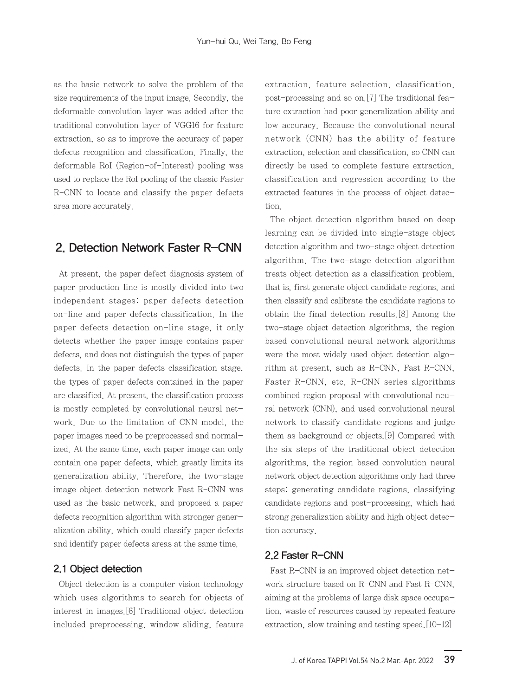as the basic network to solve the problem of the size requirements of the input image. Secondly, the deformable convolution layer was added after the traditional convolution layer of VGG16 for feature extraction, so as to improve the accuracy of paper defects recognition and classification. Finally, the deformable RoI (Region-of-Interest) pooling was used to replace the RoI pooling of the classic Faster R-CNN to locate and classify the paper defects area more accurately.

## 2. Detection Network Faster R-CNN

At present, the paper defect diagnosis system of paper production line is mostly divided into two independent stages: paper defects detection on-line and paper defects classification. In the paper defects detection on-line stage, it only detects whether the paper image contains paper defects, and does not distinguish the types of paper defects. In the paper defects classification stage, the types of paper defects contained in the paper are classified. At present, the classification process is mostly completed by convolutional neural network. Due to the limitation of CNN model, the paper images need to be preprocessed and normalized. At the same time, each paper image can only contain one paper defects, which greatly limits its generalization ability. Therefore, the two-stage image object detection network Fast R-CNN was used as the basic network, and proposed a paper defects recognition algorithm with stronger generalization ability, which could classify paper defects and identify paper defects areas at the same time.

### 2.1 Object detection

Object detection is a computer vision technology which uses algorithms to search for objects of interest in images.[6] Traditional object detection included preprocessing, window sliding, feature extraction, feature selection, classification, post-processing and so on.[7] The traditional feature extraction had poor generalization ability and low accuracy. Because the convolutional neural network (CNN) has the ability of feature extraction, selection and classification, so CNN can directly be used to complete feature extraction, classification and regression according to the extracted features in the process of object detection.

The object detection algorithm based on deep learning can be divided into single-stage object detection algorithm and two-stage object detection algorithm. The two-stage detection algorithm treats object detection as a classification problem, that is, first generate object candidate regions, and then classify and calibrate the candidate regions to obtain the final detection results.[8] Among the two-stage object detection algorithms, the region based convolutional neural network algorithms were the most widely used object detection algorithm at present, such as R-CNN, Fast R-CNN, Faster R-CNN, etc. R-CNN series algorithms combined region proposal with convolutional neural network (CNN), and used convolutional neural network to classify candidate regions and judge them as background or objects.[9] Compared with the six steps of the traditional object detection algorithms, the region based convolution neural network object detection algorithms only had three steps: generating candidate regions, classifying candidate regions and post-processing, which had strong generalization ability and high object detection accuracy.

### 2.2 Faster R-CNN

Fast R-CNN is an improved object detection network structure based on R-CNN and Fast R-CNN, aiming at the problems of large disk space occupation, waste of resources caused by repeated feature extraction, slow training and testing speed.[10-12]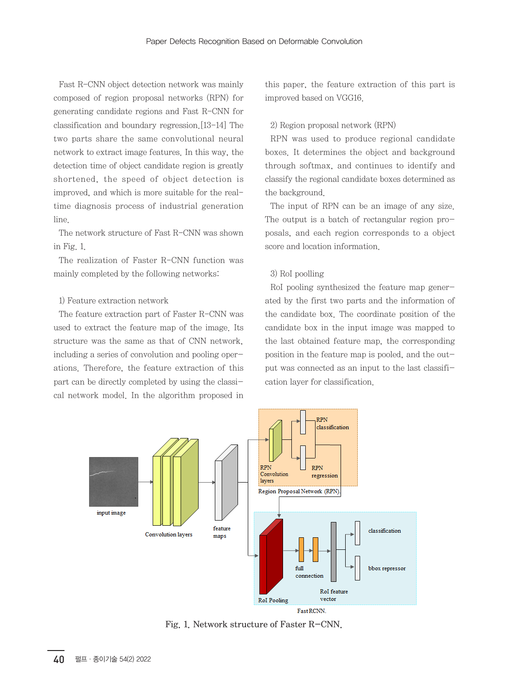Fast R-CNN object detection network was mainly composed of region proposal networks (RPN) for generating candidate regions and Fast R-CNN for classification and boundary regression.[13-14] The two parts share the same convolutional neural network to extract image features. In this way, the detection time of object candidate region is greatly shortened, the speed of object detection is improved, and which is more suitable for the realtime diagnosis process of industrial generation line.

The network structure of Fast R-CNN was shown in Fig. 1.

The realization of Faster R-CNN function was mainly completed by the following networks:

#### 1) Feature extraction network

The feature extraction part of Faster R-CNN was used to extract the feature map of the image. Its structure was the same as that of CNN network, including a series of convolution and pooling operations. Therefore, the feature extraction of this part can be directly completed by using the classical network model. In the algorithm proposed in this paper, the feature extraction of this part is improved based on VGG16.

#### 2) Region proposal network (RPN)

RPN was used to produce regional candidate boxes. It determines the object and background through softmax, and continues to identify and classify the regional candidate boxes determined as the background.

The input of RPN can be an image of any size. The output is a batch of rectangular region proposals, and each region corresponds to a object score and location information.

### 3) RoI poolling

RoI pooling synthesized the feature map generated by the first two parts and the information of the candidate box. The coordinate position of the candidate box in the input image was mapped to the last obtained feature map, the corresponding position in the feature map is pooled, and the output was connected as an input to the last classification layer for classification.



Fig. 1. Network structure of Faster R-CNN.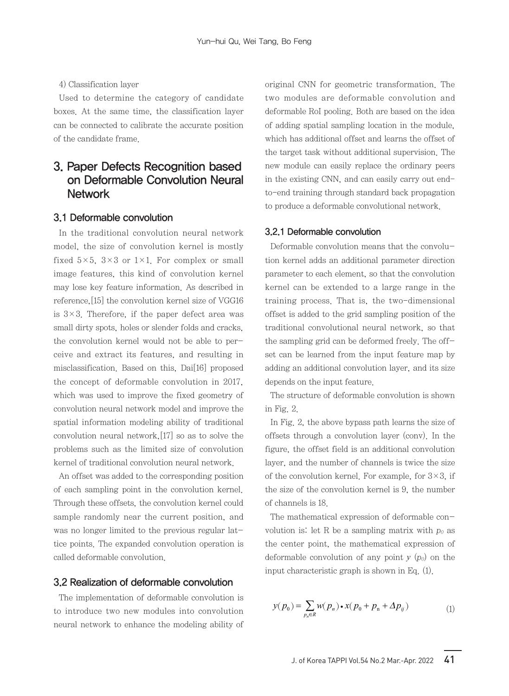4) Classification layer

Used to determine the category of candidate boxes. At the same time, the classification layer can be connected to calibrate the accurate position of the candidate frame.

# 3. Paper Defects Recognition based on Deformable Convolution Neural **Network**

### 3.1 Deformable convolution

In the traditional convolution neural network model, the size of convolution kernel is mostly fixed  $5\times5$ ,  $3\times3$  or  $1\times1$ . For complex or small image features, this kind of convolution kernel may lose key feature information. As described in reference,[15] the convolution kernel size of VGG16 is  $3\times3$ . Therefore, if the paper defect area was small dirty spots, holes or slender folds and cracks, the convolution kernel would not be able to perceive and extract its features, and resulting in misclassification. Based on this, Dai [16] proposed the concept of deformable convolution in 2017, which was used to improve the fixed geometry of convolution neural network model and improve the spatial information modeling ability of traditional convolution neural network,[17] so as to solve the problems such as the limited size of convolution kernel of traditional convolution neural network.

An offset was added to the corresponding position of each sampling point in the convolution kernel. Through these offsets, the convolution kernel could sample randomly near the current position, and was no longer limited to the previous regular lattice points. The expanded convolution operation is called deformable convolution.

### 3.2 Realization of deformable convolution

The implementation of deformable convolution is to introduce two new modules into convolution neural network to enhance the modeling ability of original CNN for geometric transformation. The two modules are deformable convolution and deformable RoI pooling. Both are based on the idea of adding spatial sampling location in the module, which has additional offset and learns the offset of the target task without additional supervision. The new module can easily replace the ordinary peers in the existing CNN, and can easily carry out endto-end training through standard back propagation to produce a deformable convolutional network.

#### 3.2.1 Deformable convolution

Deformable convolution means that the convolution kernel adds an additional parameter direction parameter to each element, so that the convolution kernel can be extended to a large range in the training process. That is, the two-dimensional offset is added to the grid sampling position of the traditional convolutional neural network, so that the sampling grid can be deformed freely. The offset can be learned from the input feature map by adding an additional convolution layer, and its size depends on the input feature.

The structure of deformable convolution is shown in Fig. 2.

In Fig. 2, the above bypass path learns the size of offsets through a convolution layer (conv). In the figure, the offset field is an additional convolution layer, and the number of channels is twice the size of the convolution kernel. For example, for  $3\times3$ , if the size of the convolution kernel is 9, the number of channels is 18.

The mathematical expression of deformable convolution is: let R be a sampling matrix with  $p_0$  as the center point, the mathematical expression of deformable convolution of any point  $y(p_0)$  on the input characteristic graph is shown in Eq. (1).

$$
y(p_0) = \sum_{p_n \in R} w(p_n) \cdot x(p_0 + p_n + \Delta p_{ij})
$$
 (1)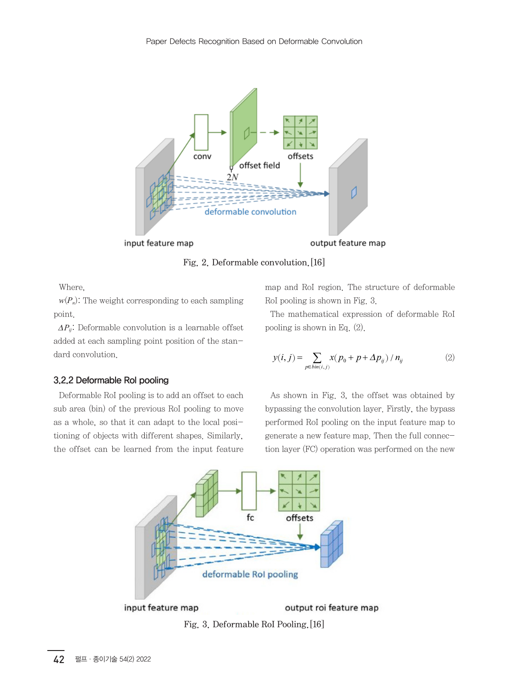

Fig. 2. Deformable convolution.[16]

Where,

 $w(P_n)$ : The weight corresponding to each sampling point.

*∆P<sub>ij</sub>*: Deformable convolution is a learnable offset added at each sampling point position of the standard convolution.

### 3.2.2 Deformable RoI pooling

Deformable RoI pooling is to add an offset to each sub area (bin) of the previous RoI pooling to move as a whole, so that it can adapt to the local positioning of objects with different shapes. Similarly, the offset can be learned from the input feature map and RoI region. The structure of deformable RoI pooling is shown in Fig. 3.

The mathematical expression of deformable RoI pooling is shown in Eq. (2).

$$
y(i, j) = \sum_{p \in bin(i, j)} x(p_0 + p + \Delta p_{ij}) / n_{ij}
$$
 (2)

As shown in Fig. 3, the offset was obtained by bypassing the convolution layer. Firstly, the bypass performed RoI pooling on the input feature map to generate a new feature map. Then the full connection layer (FC) operation was performed on the new

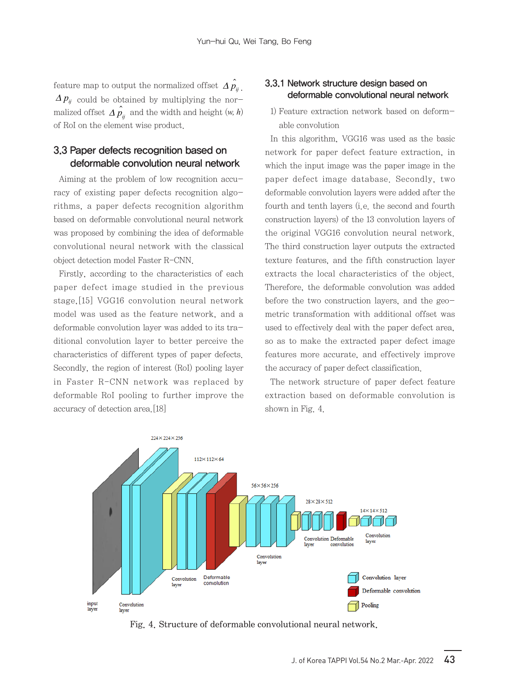feature map to output the normalized offset  $\hat{\Delta p_y}$ .  $\Delta p_{ij}$  could be obtained by multiplying the normalized offset  $\hat{Ap_{ij}}$  and the width and height  $(w, h)$ of RoI on the element wise product.

## 3.3 Paper defects recognition based on deformable convolution neural network

Aiming at the problem of low recognition accuracy of existing paper defects recognition algorithms, a paper defects recognition algorithm based on deformable convolutional neural network was proposed by combining the idea of deformable convolutional neural network with the classical object detection model Faster R-CNN.

Firstly, according to the characteristics of each paper defect image studied in the previous stage,[15] VGG16 convolution neural network model was used as the feature network, and a deformable convolution layer was added to its traditional convolution layer to better perceive the characteristics of different types of paper defects. Secondly, the region of interest (RoI) pooling layer in Faster R-CNN network was replaced by deformable RoI pooling to further improve the accuracy of detection area.[18]

## 3.3.1 Network structure design based on deformable convolutional neural network

1) Feature extraction network based on deformable convolution

In this algorithm, VGG16 was used as the basic network for paper defect feature extraction, in which the input image was the paper image in the paper defect image database. Secondly, two deformable convolution layers were added after the fourth and tenth layers (i.e. the second and fourth construction layers) of the 13 convolution layers of the original VGG16 convolution neural network. The third construction layer outputs the extracted texture features, and the fifth construction layer extracts the local characteristics of the object. Therefore, the deformable convolution was added before the two construction layers, and the geometric transformation with additional offset was used to effectively deal with the paper defect area, so as to make the extracted paper defect image features more accurate, and effectively improve the accuracy of paper defect classification.

The network structure of paper defect feature extraction based on deformable convolution is shown in Fig. 4.



Fig. 4. Structure of deformable convolutional neural network.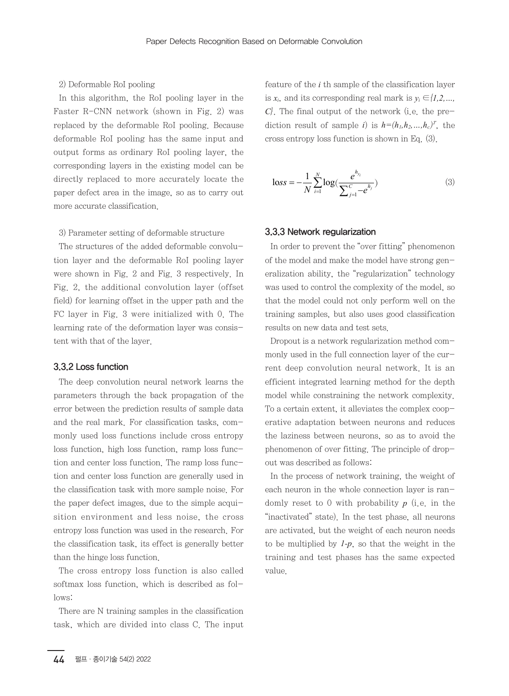#### 2) Deformable RoI pooling

In this algorithm, the RoI pooling layer in the Faster R-CNN network (shown in Fig. 2) was replaced by the deformable RoI pooling. Because deformable RoI pooling has the same input and output forms as ordinary RoI pooling layer, the corresponding layers in the existing model can be directly replaced to more accurately locate the paper defect area in the image, so as to carry out more accurate classification.

3) Parameter setting of deformable structure

The structures of the added deformable convolution layer and the deformable RoI pooling layer were shown in Fig. 2 and Fig. 3 respectively. In Fig. 2, the additional convolution layer (offset field) for learning offset in the upper path and the FC layer in Fig. 3 were initialized with 0. The learning rate of the deformation layer was consistent with that of the layer.

### 3.3.2 Loss function

The deep convolution neural network learns the parameters through the back propagation of the error between the prediction results of sample data and the real mark. For classification tasks, commonly used loss functions include cross entropy loss function, high loss function, ramp loss function and center loss function. The ramp loss function and center loss function are generally used in the classification task with more sample noise. For the paper defect images, due to the simple acquisition environment and less noise, the cross entropy loss function was used in the research. For the classification task, its effect is generally better than the hinge loss function.

The cross entropy loss function is also called softmax loss function, which is described as follows:

There are N training samples in the classification task, which are divided into class C. The input feature of the *i* th sample of the classification layer is  $x_i$ , and its corresponding real mark is  $y_i \in \{1,2,...,n\}$ *C*}. The final output of the network (i.e. the prediction result of sample *i*) is  $h=(h_1, h_2, ..., h_c)^T$ , the cross entropy loss function is shown in Eq. (3).

$$
loss = -\frac{1}{N} \sum_{i=1}^{N} \log(\frac{e^{h_{y_i}}}{\sum_{j=1}^{C} -e^{h_j}})
$$
 (3)

#### 3.3.3 Network regularization

In order to prevent the "over fitting" phenomenon of the model and make the model have strong generalization ability, the "regularization" technology was used to control the complexity of the model, so that the model could not only perform well on the training samples, but also uses good classification results on new data and test sets.

Dropout is a network regularization method commonly used in the full connection layer of the current deep convolution neural network. It is an efficient integrated learning method for the depth model while constraining the network complexity. To a certain extent, it alleviates the complex cooperative adaptation between neurons and reduces the laziness between neurons, so as to avoid the phenomenon of over fitting. The principle of dropout was described as follows:

In the process of network training, the weight of each neuron in the whole connection layer is randomly reset to 0 with probability *p* (i.e. in the "inactivated" state). In the test phase, all neurons are activated, but the weight of each neuron needs to be multiplied by *1-p*, so that the weight in the training and test phases has the same expected value.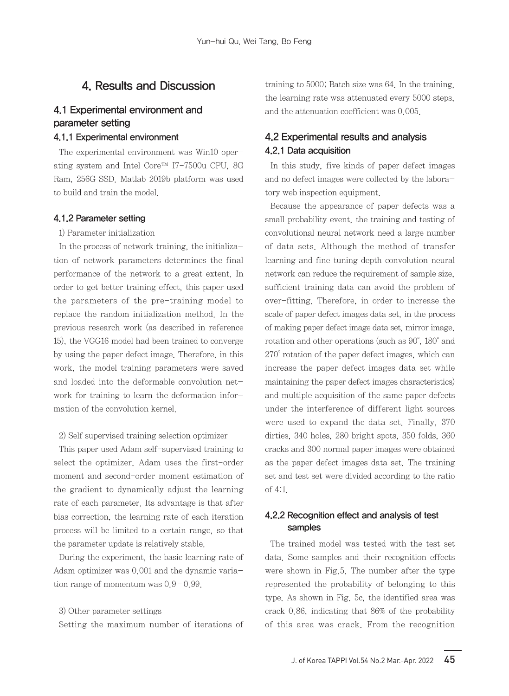## 4. Results and Discussion

## 4.1 Experimental environment and parameter setting

#### 4.1.1 Experimental environment

The experimental environment was Win10 operating system and Intel Core™ I7-7500u CPU, 8G Ram, 256G SSD. Matlab 2019b platform was used to build and train the model.

#### 4.1.2 Parameter setting

#### 1) Parameter initialization

In the process of network training, the initialization of network parameters determines the final performance of the network to a great extent. In order to get better training effect, this paper used the parameters of the pre-training model to replace the random initialization method. In the previous research work (as described in reference 15), the VGG16 model had been trained to converge by using the paper defect image. Therefore, in this work, the model training parameters were saved and loaded into the deformable convolution network for training to learn the deformation information of the convolution kernel.

#### 2) Self supervised training selection optimizer

This paper used Adam self-supervised training to select the optimizer. Adam uses the first-order moment and second-order moment estimation of the gradient to dynamically adjust the learning rate of each parameter. Its advantage is that after bias correction, the learning rate of each iteration process will be limited to a certain range, so that the parameter update is relatively stable.

During the experiment, the basic learning rate of Adam optimizer was 0.001 and the dynamic variation range of momentum was  $0.9 - 0.99$ .

#### 3) Other parameter settings

Setting the maximum number of iterations of

training to 5000; Batch size was 64. In the training, the learning rate was attenuated every 5000 steps, and the attenuation coefficient was 0.005.

## 4.2 Experimental results and analysis 4.2.1 Data acquisition

In this study, five kinds of paper defect images and no defect images were collected by the laboratory web inspection equipment.

Because the appearance of paper defects was a small probability event, the training and testing of convolutional neural network need a large number of data sets. Although the method of transfer learning and fine tuning depth convolution neural network can reduce the requirement of sample size, sufficient training data can avoid the problem of over-fitting. Therefore, in order to increase the scale of paper defect images data set, in the process of making paper defect image data set, mirror image, rotation and other operations (such as 90°, 180° and 270° rotation of the paper defect images, which can increase the paper defect images data set while maintaining the paper defect images characteristics) and multiple acquisition of the same paper defects under the interference of different light sources were used to expand the data set. Finally, 370 dirties, 340 holes, 280 bright spots, 350 folds, 360 cracks and 300 normal paper images were obtained as the paper defect images data set. The training set and test set were divided according to the ratio of 4:1.

### 4.2.2 Recognition effect and analysis of test samples

The trained model was tested with the test set data. Some samples and their recognition effects were shown in Fig.5. The number after the type represented the probability of belonging to this type. As shown in Fig. 5c, the identified area was crack 0.86, indicating that 86% of the probability of this area was crack. From the recognition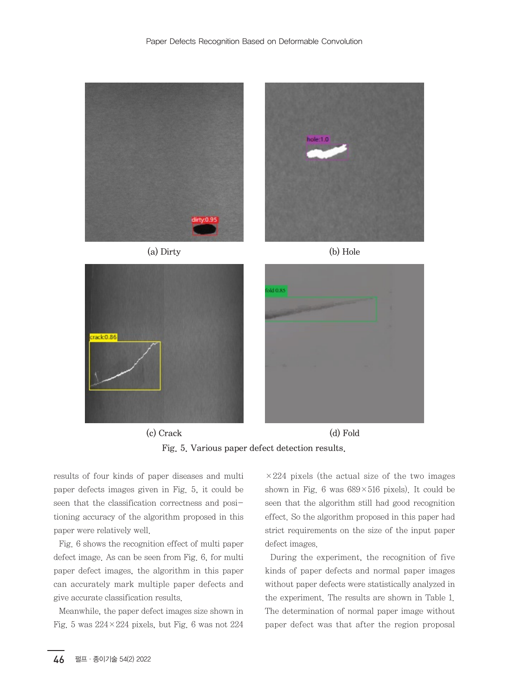











(c) Crack (d) Fold Fig. 5. Various paper defect detection results.

results of four kinds of paper diseases and multi paper defects images given in Fig. 5, it could be seen that the classification correctness and positioning accuracy of the algorithm proposed in this paper were relatively well.

Fig. 6 shows the recognition effect of multi paper defect image. As can be seen from Fig. 6, for multi paper defect images, the algorithm in this paper can accurately mark multiple paper defects and give accurate classification results.

Meanwhile, the paper defect images size shown in Fig. 5 was  $224 \times 224$  pixels, but Fig. 6 was not  $224$ 

 $\times 224$  pixels (the actual size of the two images shown in Fig. 6 was  $689 \times 516$  pixels). It could be seen that the algorithm still had good recognition effect. So the algorithm proposed in this paper had strict requirements on the size of the input paper defect images.

During the experiment, the recognition of five kinds of paper defects and normal paper images without paper defects were statistically analyzed in the experiment. The results are shown in Table 1. The determination of normal paper image without paper defect was that after the region proposal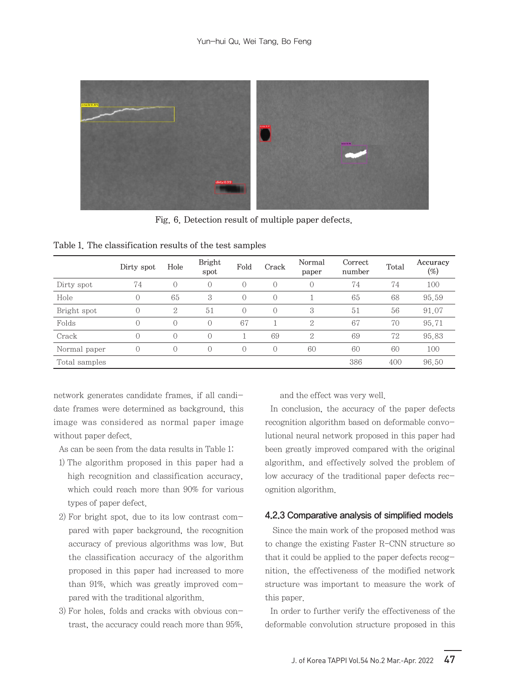

Fig. 6. Detection result of multiple paper defects.

|               | Dirty spot | Hole       | <b>Bright</b><br>spot | Fold       | Crack      | Normal<br>paper | Correct<br>number | Total | Accuracy<br>$(\%)$ |
|---------------|------------|------------|-----------------------|------------|------------|-----------------|-------------------|-------|--------------------|
| Dirty spot    | 74         | $\Omega$   | $\Omega$              | $\bigcirc$ | $\bigcirc$ | $\mathbf{0}$    | 74                | 74    | 100                |
| Hole          | $\bigcirc$ | 65         | 3                     | $\bigcirc$ | $\bigcirc$ |                 | 65                | 68    | 95.59              |
| Bright spot   | $\bigcirc$ | 2          | 51                    | $\bigcirc$ | $\bigcirc$ | 3               | 51                | 56    | 91.07              |
| Folds         | $\bigcirc$ | $\Omega$   | $\Omega$              | 67         |            | 2               | 67                | 70    | 95.71              |
| Crack         | $\Omega$   | $\Omega$   | $\Omega$              |            | 69         | 2               | 69                | 72    | 95.83              |
| Normal paper  | $\bigcirc$ | $\bigcirc$ | $\Omega$              | $\bigcirc$ | $\bigcirc$ | 60              | 60                | 60    | 100                |
| Total samples |            |            |                       |            |            |                 | 386               | 400   | 96.50              |

Table 1. The classification results of the test samples

network generates candidate frames, if all candidate frames were determined as background, this image was considered as normal paper image without paper defect.

As can be seen from the data results in Table 1:

- 1) The algorithm proposed in this paper had a high recognition and classification accuracy, which could reach more than 90% for various types of paper defect.
- 2) For bright spot, due to its low contrast compared with paper background, the recognition accuracy of previous algorithms was low. But the classification accuracy of the algorithm proposed in this paper had increased to more than 91%, which was greatly improved compared with the traditional algorithm.
- 3) For holes, folds and cracks with obvious contrast, the accuracy could reach more than 95%,

and the effect was very well.

In conclusion, the accuracy of the paper defects recognition algorithm based on deformable convolutional neural network proposed in this paper had been greatly improved compared with the original algorithm, and effectively solved the problem of low accuracy of the traditional paper defects recognition algorithm.

#### 4.2.3 Comparative analysis of simplified models

 Since the main work of the proposed method was to change the existing Faster R-CNN structure so that it could be applied to the paper defects recognition, the effectiveness of the modified network structure was important to measure the work of this paper.

In order to further verify the effectiveness of the deformable convolution structure proposed in this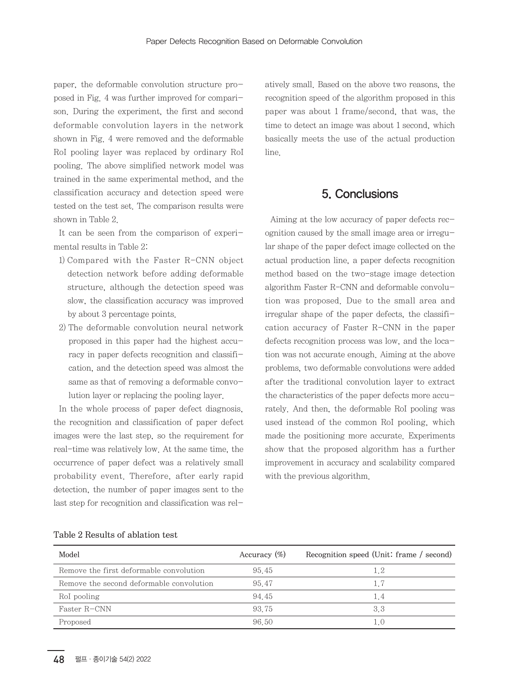paper, the deformable convolution structure proposed in Fig. 4 was further improved for comparison. During the experiment, the first and second deformable convolution layers in the network shown in Fig. 4 were removed and the deformable RoI pooling layer was replaced by ordinary RoI pooling. The above simplified network model was trained in the same experimental method, and the classification accuracy and detection speed were tested on the test set. The comparison results were shown in Table 2.

It can be seen from the comparison of experimental results in Table 2:

- 1) Compared with the Faster R-CNN object detection network before adding deformable structure, although the detection speed was slow, the classification accuracy was improved by about 3 percentage points.
- 2) The deformable convolution neural network proposed in this paper had the highest accuracy in paper defects recognition and classification, and the detection speed was almost the same as that of removing a deformable convolution layer or replacing the pooling layer.

In the whole process of paper defect diagnosis, the recognition and classification of paper defect images were the last step, so the requirement for real-time was relatively low. At the same time, the occurrence of paper defect was a relatively small probability event. Therefore, after early rapid detection, the number of paper images sent to the last step for recognition and classification was relatively small. Based on the above two reasons, the recognition speed of the algorithm proposed in this paper was about 1 frame/second, that was, the time to detect an image was about 1 second, which basically meets the use of the actual production line.

## 5. Conclusions

Aiming at the low accuracy of paper defects recognition caused by the small image area or irregular shape of the paper defect image collected on the actual production line, a paper defects recognition method based on the two-stage image detection algorithm Faster R-CNN and deformable convolution was proposed. Due to the small area and irregular shape of the paper defects, the classification accuracy of Faster R-CNN in the paper defects recognition process was low, and the location was not accurate enough. Aiming at the above problems, two deformable convolutions were added after the traditional convolution layer to extract the characteristics of the paper defects more accurately. And then, the deformable RoI pooling was used instead of the common RoI pooling, which made the positioning more accurate. Experiments show that the proposed algorithm has a further improvement in accuracy and scalability compared with the previous algorithm.

| Model                                    | Accuracy $(\%)$ | Recognition speed (Unit: frame / second) |
|------------------------------------------|-----------------|------------------------------------------|
| Remove the first deformable convolution  | 95.45           | 1.2                                      |
| Remove the second deformable convolution | 95 47           | 1.7                                      |
| RoI pooling                              | 94 45           | 1.4                                      |
| Faster R-CNN                             | 93 75           | 33                                       |
| Proposed                                 | 96.50           |                                          |

### Table 2 Results of ablation test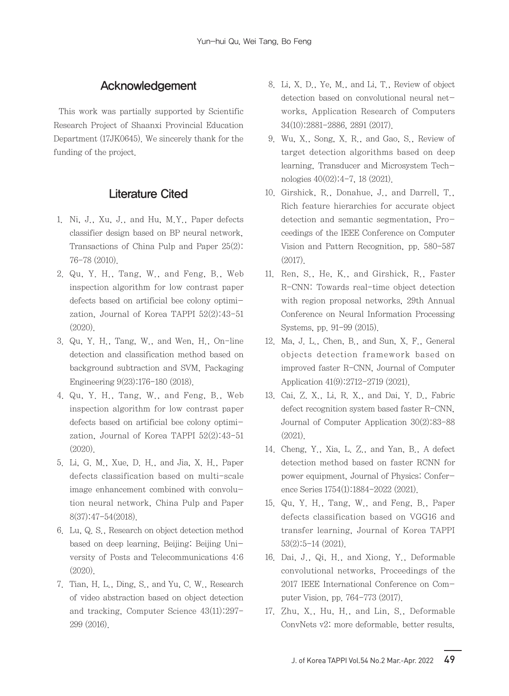## Acknowledgement

This work was partially supported by Scientific Research Project of Shaanxi Provincial Education Department (17JK0645). We sincerely thank for the funding of the project.

## Literature Cited

- 1. Ni, J., Xu, J., and Hu, M.Y., Paper defects classifier design based on BP neural network, Transactions of China Pulp and Paper 25(2): 76-78 (2010).
- 2. Qu, Y. H., Tang, W., and Feng, B., Web inspection algorithm for low contrast paper defects based on artificial bee colony optimization, Journal of Korea TAPPI 52(2):43-51 (2020).
- 3. Qu, Y. H., Tang, W., and Wen, H., On-line detection and classification method based on background subtraction and SVM, Packaging Engineering 9(23):176-180 (2018).
- 4. Qu, Y. H., Tang, W., and Feng, B., Web inspection algorithm for low contrast paper defects based on artificial bee colony optimization, Journal of Korea TAPPI 52(2):43-51 (2020).
- 5. Li, G. M., Xue, D. H., and Jia, X. H., Paper defects classification based on multi-scale image enhancement combined with convolution neural network, China Pulp and Paper 8(37):47-54(2018).
- 6. Lu, Q. S., Research on object detection method based on deep learning, Beijing: Beijing University of Posts and Telecommunications 4:6 (2020).
- 7. Tian, H. L., Ding, S., and Yu, C. W., Research of video abstraction based on object detection and tracking, Computer Science 43(11):297- 299 (2016).
- 8. Li, X. D., Ye, M., and Li, T., Review of object detection based on convolutional neural networks, Application Research of Computers 34(10):2881-2886, 2891 (2017).
- 9. Wu, X., Song, X. R., and Gao, S., Review of target detection algorithms based on deep learning, Transducer and Microsystem Technologies 40(02):4-7, 18 (2021).
- 10. Girshick, R., Donahue, J., and Darrell, T., Rich feature hierarchies for accurate object detection and semantic segmentation, Proceedings of the IEEE Conference on Computer Vision and Pattern Recognition, pp. 580-587 (2017).
- 11. Ren, S., He, K., and Girshick, R., Faster R-CNN: Towards real-time object detection with region proposal networks, 29th Annual Conference on Neural Information Processing Systems, pp. 91-99 (2015).
- 12. Ma, J. L., Chen, B., and Sun, X. F., General objects detection framework based on improved faster R-CNN, Journal of Computer Application 41(9):2712-2719 (2021).
- 13. Cai, Z. X., Li, R. X., and Dai, Y. D., Fabric defect recognition system based faster R-CNN, Journal of Computer Application 30(2):83-88 (2021).
- 14. Cheng, Y., Xia, L. Z., and Yan, B., A defect detection method based on faster RCNN for power equipment, Journal of Physics: Conference Series 1754(1):1884-2022 (2021).
- 15. Qu, Y. H., Tang, W., and Feng, B., Paper defects classification based on VGG16 and transfer learning, Journal of Korea TAPPI 53(2):5-14 (2021).
- 16. Dai, J., Qi, H., and Xiong, Y., Deformable convolutional networks, Proceedings of the 2017 IEEE International Conference on Computer Vision, pp. 764-773 (2017).
- 17. Zhu, X., Hu, H., and Lin, S., Deformable ConvNets v2: more deformable, better results,